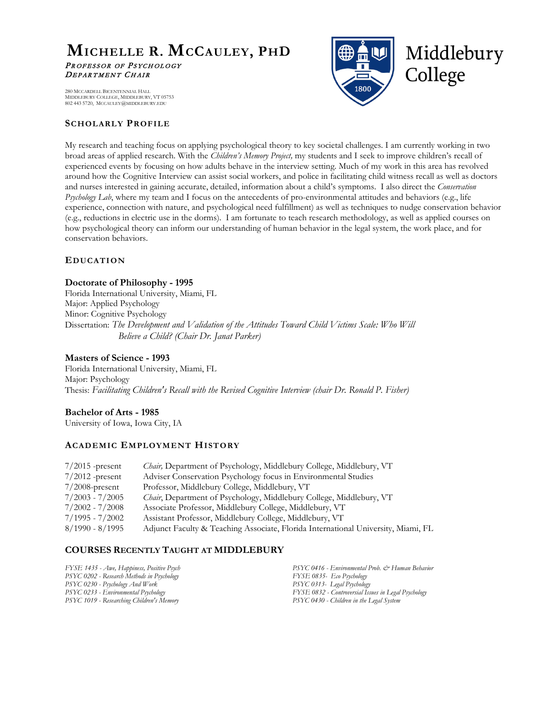# **MICHELLE R. MCCAULEY, PHD** PROFESSOR OF PSYCHOLOGY DEPARTMENT CHAIR

Middlebury College

 280 MCCARDELL BICENTENNIAL HALL MIDDLEBURY COLLEGE, MIDDLEBURY, VT 05753 802 443 5720, MCCAULEY@MIDDLEBURY.EDU

# **SCHOLARLY PROFILE**

My research and teaching focus on applying psychological theory to key societal challenges. I am currently working in two broad areas of applied research. With the *Children's Memory Project,* my students and I seek to improve children's recall of experienced events by focusing on how adults behave in the interview setting. Much of my work in this area has revolved around how the Cognitive Interview can assist social workers, and police in facilitating child witness recall as well as doctors and nurses interested in gaining accurate, detailed, information about a child's symptoms. I also direct the *Conservation Psychology Lab*, where my team and I focus on the antecedents of pro-environmental attitudes and behaviors (e.g., life experience, connection with nature, and psychological need fulfillment) as well as techniques to nudge conservation behavior (e.g., reductions in electric use in the dorms). I am fortunate to teach research methodology, as well as applied courses on how psychological theory can inform our understanding of human behavior in the legal system, the work place, and for conservation behaviors.

# **EDUCATION**

# **Doctorate of Philosophy - 1995**

Florida International University, Miami, FL Major: Applied Psychology Minor: Cognitive Psychology Dissertation: *The Development and Validation of the Attitudes Toward Child Victims Scale: Who Will Believe a Child? (Chair Dr. Janat Parker)*

# **Masters of Science - 1993**

Florida International University, Miami, FL Major: Psychology Thesis: *Facilitating Children's Recall with the Revised Cognitive Interview (chair Dr. Ronald P. Fisher)*

# **Bachelor of Arts - 1985**

University of Iowa, Iowa City, IA

# **ACADEMIC EMPLOYMENT HISTORY**

| $7/2015$ -present | <i>Chair</i> , Department of Psychology, Middlebury College, Middlebury, VT       |
|-------------------|-----------------------------------------------------------------------------------|
| $7/2012$ -present | Adviser Conservation Psychology focus in Environmental Studies                    |
| $7/2008$ -present | Professor, Middlebury College, Middlebury, VT                                     |
| $7/2003 - 7/2005$ | <i>Chair</i> , Department of Psychology, Middlebury College, Middlebury, VT       |
| $7/2002 - 7/2008$ | Associate Professor, Middlebury College, Middlebury, VT                           |
| $7/1995 - 7/2002$ | Assistant Professor, Middlebury College, Middlebury, VT                           |
| $8/1990 - 8/1995$ | Adjunct Faculty & Teaching Associate, Florida International University, Miami, FL |

# **COURSES RECENTLY TAUGHT AT MIDDLEBURY**

*FYSE 1435 - Awe, Happiness, Positive Psych PSYC 0202 - Research Methods in Psychology PSYC 0230 - Psychology And Work PSYC 0233 - Environmental Psychology PSYC 1019 - Researching Children's Memory*

*PSYC 0416 - Environmental Prob. & Human Behavior FYSE 0835- Eco Psychology PSYC 0313- Legal Psychology FYSE 0832 - Controversial Issues in Legal Psychology PSYC 0430 - Children in the Legal System*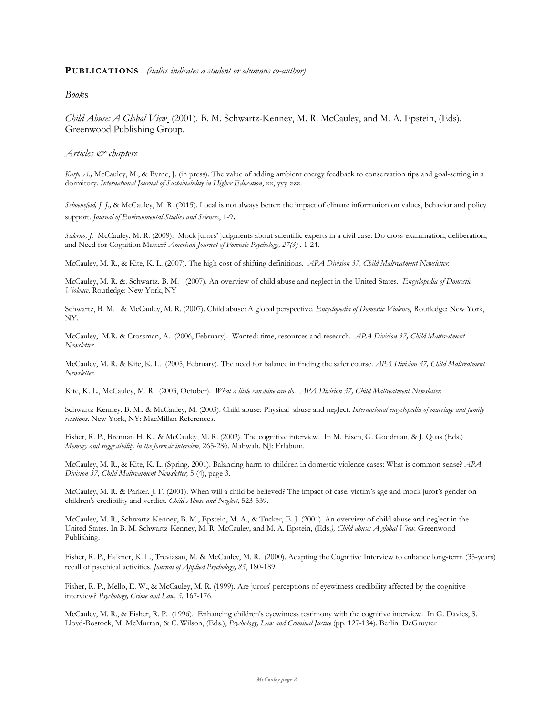*Book*s

*Child Abuse: A Global View* (2001). B. M. Schwartz-Kenney, M. R. McCauley, and M. A. Epstein, (Eds). Greenwood Publishing Group.

*Articles & chapters*

*Karp, A.,* McCauley, M., & Byrne, J. (in press). The value of adding ambient energy feedback to conservation tips and goal-setting in a dormitory. *International Journal of Sustainability in Higher Education*, xx, yyy-zzz.

*Schoenefeld, J. J.,* & McCauley, M. R. (2015). Local is not always better: the impact of climate information on values, behavior and policy support. *Journal of Environmental Studies and Sciences*, 1-9.

*Salerno, J.* McCauley, M. R. (2009). Mock jurors' judgments about scientific experts in a civil case: Do cross-examination, deliberation, and Need for Cognition Matter? *American Journal of Forensic Psychology, 27(3)* , 1-24.

McCauley, M. R., & Kite, K. L. (2007). The high cost of shifting definitions*. APA Division 37, Child Maltreatment Newsletter.*

McCauley, M. R. &. Schwartz, B. M. (2007). An overview of child abuse and neglect in the United States. *Encyclopedia of Domestic Violence,* Routledge: New York, NY

Schwartz, B. M. & McCauley, M. R. (2007). Child abuse: A global perspective. *Encyclopedia of Domestic Violence*, Routledge: New York, NY.

McCauley, M.R. & Crossman, A. (2006, February). Wanted: time, resources and research. *APA Division 37, Child Maltreatment Newsletter.*

McCauley, M. R. & Kite, K. L. (2005, February). The need for balance in finding the safer course*. APA Division 37, Child Maltreatment Newsletter.*

Kite, K. L., McCauley, M. R. (2003, October). *What a little sunshine can do. APA Division 37, Child Maltreatment Newsletter.*

Schwartz-Kenney, B. M., & McCauley, M. (2003). Child abuse: Physical abuse and neglect. *International encyclopedia of marriage and family relations*. New York, NY: MacMillan References.

Fisher, R. P., Brennan H. K., & McCauley, M. R. (2002). The cognitive interview. In M. Eisen, G. Goodman, & J. Quas (Eds.) *Memory and suggestibility in the forensic interview*, 265-286. Mahwah. NJ: Erlabum.

McCauley, M. R., & Kite, K. L. (Spring, 2001). Balancing harm to children in domestic violence cases: What is common sense? *APA Division 37, Child Maltreatment Newsletter,* 5 (4), page 3.

McCauley, M. R. & Parker, J. F. (2001). When will a child be believed? The impact of case, victim's age and mock juror's gender on children's credibility and verdict. *Child Abuse and Neglect,* 523-539.

McCauley, M. R., Schwartz-Kenney, B. M., Epstein, M. A., & Tucker, E. J. (2001). An overview of child abuse and neglect in the United States. In B. M. Schwartz-Kenney, M. R. McCauley, and M. A. Epstein, (Eds.*), Child abuse: A global View*. Greenwood Publishing.

Fisher, R. P., Falkner, K. L., Treviasan, M. & McCauley, M. R. (2000). Adapting the Cognitive Interview to enhance long-term (35-years) recall of psychical activities. *Journal of Applied Psychology, 85*, 180-189.

Fisher, R. P., Mello, E. W., & McCauley, M. R. (1999). Are jurors' perceptions of eyewitness credibility affected by the cognitive interview? *Psychology, Crime and Law, 5,* 167-176.

McCauley, M. R., & Fisher, R. P. (1996). Enhancing children's eyewitness testimony with the cognitive interview. In G. Davies, S. Lloyd-Bostock, M. McMurran, & C. Wilson, (Eds.), *Psychology, Law and Criminal Justice* (pp. 127-134). Berlin: DeGruyter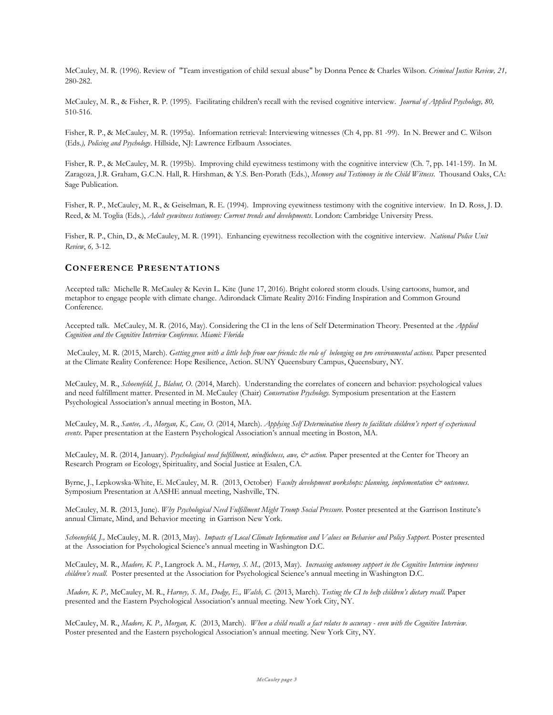McCauley, M. R. (1996). Review of "Team investigation of child sexual abuse" by Donna Pence & Charles Wilson. *Criminal Justice Review, 21,* 280-282.

McCauley, M. R., & Fisher, R. P. (1995). Facilitating children's recall with the revised cognitive interview. *Journal of Applied Psychology, 80,* 510-516.

Fisher, R. P., & McCauley, M. R. (1995a). Information retrieval: Interviewing witnesses (Ch 4, pp. 81 -99). In N. Brewer and C. Wilson (Eds*.), Policing and Psychology*. Hillside, NJ: Lawrence Erlbaum Associates.

Fisher, R. P., & McCauley, M. R. (1995b). Improving child eyewitness testimony with the cognitive interview (Ch. 7, pp. 141-159). In M. Zaragoza, J.R. Graham, G.C.N. Hall, R. Hirshman, & Y.S. Ben-Porath (Eds.), *Memory and Testimony in the Child Witness*. Thousand Oaks, CA: Sage Publication.

Fisher, R. P., McCauley, M. R., & Geiselman, R. E. (1994). Improving eyewitness testimony with the cognitive interview. In D. Ross, J. D. Reed, & M. Toglia (Eds.), *Adult eyewitness testimony: Current trends and developments*. London: Cambridge University Press.

Fisher, R. P., Chin, D., & McCauley, M. R. (1991). Enhancing eyewitness recollection with the cognitive interview. *National Police Unit Review*, *6,* 3-12.

# **CONFERENCE PRESENTATIONS**

Accepted talk: Michelle R. McCauley & Kevin L. Kite (June 17, 2016). Bright colored storm clouds. Using cartoons, humor, and metaphor to engage people with climate change. Adirondack Climate Reality 2016: Finding Inspiration and Common Ground Conference.

Accepted talk. McCauley, M. R. (2016, May). Considering the CI in the lens of Self Determination Theory. Presented at the *Applied Cognition and the Cognitive Interview Conference. Miami: Florida*

McCauley, M. R. (2015, March). *Getting green with a little help from our friends: the role of belonging on pro environmental actions.* Paper presented at the Climate Reality Conference: Hope Resilience, Action. SUNY Queensbury Campus, Queensbury, NY.

McCauley, M. R., *Schoenefeld, J., Blahut, O.* (2014, March). Understanding the correlates of concern and behavior: psychological values and need fulfillment matter. Presented in M. McCauley (Chair) *Conservation Psychology.* Symposium presentation at the Eastern Psychological Association's annual meeting in Boston, MA.

McCauley, M. R., *Santee, A., Morgan, K., Case, O.* (2014, March). *Applying Self Determination theory to facilitate children's report of experienced events*. Paper presentation at the Eastern Psychological Association's annual meeting in Boston, MA.

McCauley, M. R. (2014, January). *Psychological need fulfillment, mindfulness, awe, & action*. Paper presented at the Center for Theory an Research Program *on* Ecology, Spirituality, and Social Justice at Esalen, CA.

Byrne, J., Lepkowska-White, E. McCauley, M. R. (2013, October) F*aculty development workshops: planning, implementation & outcomes*. Symposium Presentation at AASHE annual meeting, Nashville, TN.

McCauley, M. R. (2013, June). *Why Psychological Need Fulfillment Might Trump Social Pressure*. Poster presented at the Garrison Institute's annual Climate, Mind, and Behavior meeting in Garrison New York.

Schoenefeld, J., McCauley, M. R. (2013, May). *Impacts of Local Climate Information and Values on Behavior and Policy Support*. Poster presented at the Association for Psychological Science's annual meeting in Washington D.C.

McCauley, M. R., *Madore, K. P*., Langrock A. M., *Harney, S. M.,* (2013, May). *Increasing autonomy support in the Cognitive Interview improves children's recall.* Poster presented at the Association for Psychological Science's annual meeting in Washington D.C.

*Madore, K. P.,* McCauley, M. R., *Harney, S. M., Dodge, E., Walsh, C.* (2013, March). *Testing the CI to help children's dietary recall*. Paper presented and the Eastern Psychological Association's annual meeting. New York City, NY.

McCauley, M. R., *Madore, K. P., Morgan, K*. (2013, March). *When a child recalls a fact relates to accuracy - even with the Cognitive Interview.*  Poster presented and the Eastern psychological Association's annual meeting. New York City, NY.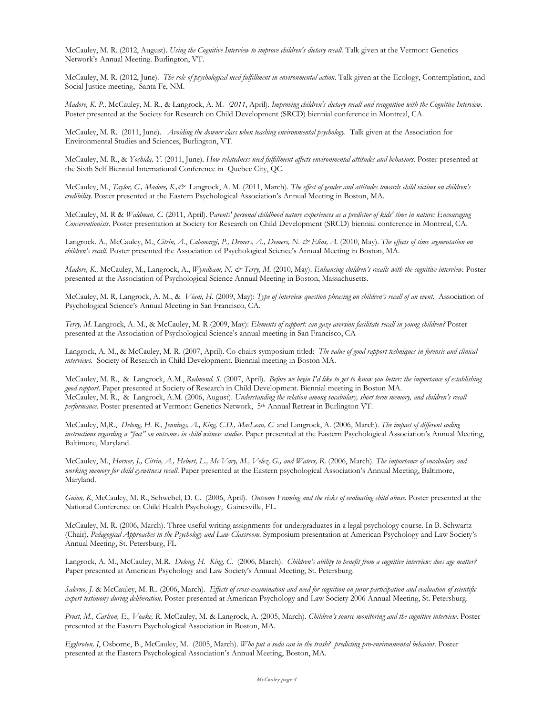McCauley, M. R. (2012, August). *Using the Cognitive Interview to improve children's dietary recall.* Talk given at the Vermont Genetics Network's Annual Meeting. Burlington, VT.

McCauley, M. R. (2012, June). *The role of psychological need fulfillment in environmental action*. Talk given at the Ecology, Contemplation, and Social Justice meeting, Santa Fe, NM.

*Madore, K. P.,* McCauley, M. R., & Langrock, A. M. *(2011*, April). *Improving children's dietary recall and recognition with the Cognitive Interview.*  Poster presented at the Society for Research on Child Development (SRCD) biennial conference in Montreal, CA.

McCauley, M. R. (2011, June). *Avoiding the downer class when teaching environmental psychology.* Talk given at the Association for Environmental Studies and Sciences, Burlington, VT.

McCauley, M. R., & *Yoshida, Y.* (2011, June). *How relatedness need fulfillment affects environmental attitudes and behaviors.* Poster presented at the Sixth Self Biennial International Conference in Quebec City, QC*.*

McCauley, M., *Taylor, C., Madore, K.,&* Langrock, A. M. (2011, March). The effect of gender and attitudes towards child victims on children's *credibility*. Poster presented at the Eastern Psychological Association's Annual Meeting in Boston, MA.

McCauley, M. R & *Waldman, C.* (2011, April). P*arents' personal childhood nature experiences as a predictor of kids' time in nature: Encouraging Conservationists*. Poster presentation at Society for Research on Child Development (SRCD) biennial conference in Montreal, CA.

Langrock. A., McCauley, M., *Citrin, A*., *Cabonargi, P., Demers, A., Demers, N. & Elias, A*. (2010, May). *The effects of time segmentation on children's recall*. Poster presented the Association of Psychological Science's Annual Meeting in Boston, MA.

*Madore, K.,* McCauley, M., Langrock, A., *Wyndham, N. & Terry, M.* (2010, May). *Enhancing children's recalls with the cognitive interview*. Poster presented at the Association of Psychological Science Annual Meeting in Boston, Massachusetts.

McCauley, M. R, Langrock, A. M., & *Viani, H.* (2009, May): *Type of interview question phrasing on children's recall of an event*. Association of Psychological Science's Annual Meeting in San Francisco, CA.

*Terry, M.* Langrock, A. M., & McCauley, M. R (2009, May): *Elements of rapport: can gaze aversion facilitate recall in young children?* Poster presented at the Association of Psychological Science's annual meeting in San Francisco, CA

Langrock, A. M., & McCauley, M. R. (2007, April). Co-chairs symposium titled: *The value of good rapport techniques in forensic and clinical interviews.* Society of Research in Child Development. Biennial meeting in Boston MA.

McCauley, M. R., & Langrock, A.M., *Redmond, S*. (2007, April). *Before we begin I'd like to get to know you better: the importance of establishing good rapport*. Paper presented at Society of Research in Child Development. Biennial meeting in Boston MA. McCauley, M. R., & Langrock, A.M. (2006, August). *Understanding the relation among vocabulary, short term memory, and children's recall performance.* Poster presented at Vermont Genetics Network, 5th Annual Retreat in Burlington VT.

McCauley, M,R., *Delong, H. R., Jennings, A., King, C.D., MacLean, C*. and Langrock, A. (2006, March). *The impact of different coding instructions regarding a "fact" on outcomes in child witness studies*. Paper presented at the Eastern Psychological Association's Annual Meeting, Baltimore, Maryland.

McCauley, M., *Horner, J., Citrin, A., Hebert, L., Mc Vary, M., Velez, G., and Waters, R*. (2006, March). *The importance of vocabulary and working memory for child eyewitness recall*. Paper presented at the Eastern psychological Association's Annual Meeting, Baltimore, Maryland.

*Guion, K*, McCauley, M. R., Schwebel, D. C. (2006, April). *Outcome Framing and the risks of evaluating child abuse.* Poster presented at the National Conference on Child Health Psychology, Gainesville, FL.

McCauley, M. R. (2006, March). Three useful writing assignments for undergraduates in a legal psychology course. In B. Schwartz (Chair), *Pedagogical Approaches in the Psychology and Law Classroom*. Symposium presentation at American Psychology and Law Society's Annual Meeting, St. Petersburg, FL

Langrock, A. M., McCauley, M.R. *Delong, H. King, C*. (2006, March). *Children's ability to benefit from a cognitive interview: does age matter?* Paper presented at American Psychology and Law Society's Annual Meeting, St. Petersburg.

*Salerno, J*. & McCauley, M. R.. (2006, March). *Effects of cross-examination and need for cognition on juror participation and evaluation of scientific expert testimony during deliberation*. Poster presented at American Psychology and Law Society 2006 Annual Meeting, St. Petersburg.

*Prust, M., Carlson, E., Voake, R*. McCauley, M. & Langrock, A. (2005, March). *Children's source monitoring and the cognitive interview*. Poster presented at the Eastern Psychological Association in Boston, MA.

*Eggbroten, J*, Osborne, B., McCauley, M. (2005, March). *Who put a soda can in the trash? predicting pro-environmental behavior.* Poster presented at the Eastern Psychological Association's Annual Meeting, Boston, MA.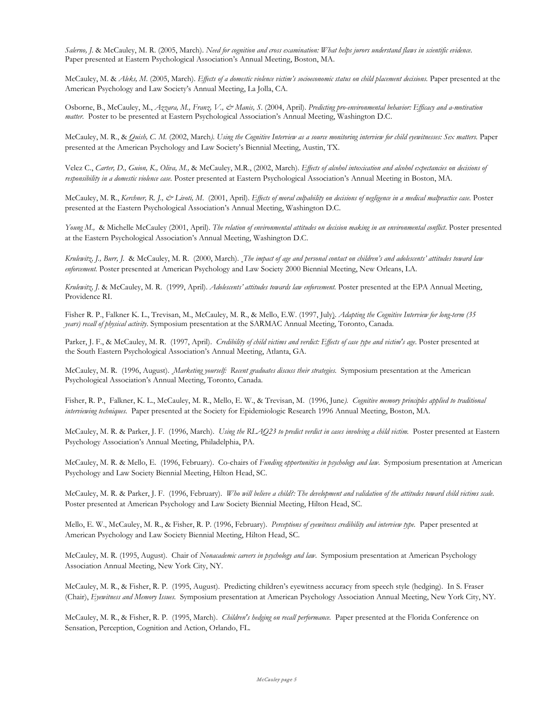*Salerno, J*. & McCauley, M. R. (2005, March). *Need for cognition and cross examination: What helps jurors understand flaws in scientific evidence.* Paper presented at Eastern Psychological Association's Annual Meeting, Boston, MA.

McCauley, M. & Aleks, M. (2005, March). *Effects of a domestic violence victim's socioeconomic status on child placement decisions*. Paper presented at the American Psychology and Law Society's Annual Meeting, La Jolla, CA.

Osborne, B., McCauley, M., *Azzara, M., Franz, V., & Manis, S*. (2004, April). *Predicting pro-environmental behavior: Efficacy and a-motivation matter.* Poster to be presented at Eastern Psychological Association's Annual Meeting, Washington D.C.

McCauley, M. R., & *Quish, C. M.* (2002, March*). Using the Cognitive Interview as a source monitoring interview for child eyewitnesses: Sex matters.* Paper presented at the American Psychology and Law Society's Biennial Meeting, Austin, TX.

Velez C., *Carter, D., Guion, K., Oliva, M.,* & McCauley, M.R., (2002, March). *Effects of alcohol intoxication and alcohol expectancies on decisions of responsibility in a domestic violence case.* Poster presented at Eastern Psychological Association's Annual Meeting in Boston, MA.

McCauley, M. R., *Kerchner, R. J., & Livoti, M*. (2001, April). *Effects of moral culpability on decisions of negligence in a medical malpractice case.* Poster presented at the Eastern Psychological Association's Annual Meeting, Washington D.C.

*Young M.,* & Michelle McCauley (2001, April). *The relation of environmental attitudes on decision making in an environmental conflict*. Poster presented at the Eastern Psychological Association's Annual Meeting, Washington D.C.

*Krulewitz, J., Burr, J.* & McCauley, M. R. (2000, March). *The impact of age and personal contact on children's and adolescents' attitudes toward law enforcement.* Poster presented at American Psychology and Law Society 2000 Biennial Meeting, New Orleans, LA.

*Krulewitz, J.* & McCauley, M. R. (1999, April). *Adolescents' attitudes towards law enforcement.* Poster presented at the EPA Annual Meeting, Providence RI.

Fisher R. P., Falkner K. L., Trevisan, M., McCauley, M. R., & Mello, E.W. (1997, July). *Adapting the Cognitive Interview for long-term (35 years) recall of physical activity*. Symposium presentation at the SARMAC Annual Meeting, Toronto, Canada.

Parker, J. F., & McCauley, M. R. (1997, April). *Credibility of child victims and verdict: Effects of case type and victim's age*. Poster presented at the South Eastern Psychological Association's Annual Meeting, Atlanta, GA.

McCauley, M. R. (1996, August). *Marketing yourself: Recent graduates discuss their strategies.* Symposium presentation at the American Psychological Association's Annual Meeting, Toronto, Canada.

Fisher, R. P., Falkner, K. L., McCauley, M. R., Mello, E. W., & Trevisan, M. (1996, June*). Cognitive memory principles applied to traditional interviewing techniques.* Paper presented at the Society for Epidemiologic Research 1996 Annual Meeting, Boston, MA.

McCauley, M. R. & Parker, J. F. (1996, March). *Using the RLAQ23 to predict verdict in cases involving a child victim.* Poster presented at Eastern Psychology Association's Annual Meeting, Philadelphia, PA.

McCauley, M. R. & Mello, E. (1996, February). Co-chairs of *Funding opportunities in psychology and law*. Symposium presentation at American Psychology and Law Society Biennial Meeting, Hilton Head, SC.

McCauley, M. R. & Parker, J. F. (1996, February). *Who will believe a child?: The development and validation of the attitudes toward child victims scale.* Poster presented at American Psychology and Law Society Biennial Meeting, Hilton Head, SC.

Mello, E. W., McCauley, M. R., & Fisher, R. P. (1996, February). *Perceptions of eyewitness credibility and interview type.* Paper presented at American Psychology and Law Society Biennial Meeting, Hilton Head, SC.

McCauley, M. R. (1995, August). Chair of *Nonacademic careers in psychology and law*. Symposium presentation at American Psychology Association Annual Meeting, New York City, NY.

McCauley, M. R., & Fisher, R. P. (1995, August). Predicting children's eyewitness accuracy from speech style (hedging). In S. Fraser (Chair), *Eyewitness and Memory Issues.* Symposium presentation at American Psychology Association Annual Meeting, New York City, NY.

McCauley, M. R., & Fisher, R. P. (1995, March). *Children's hedging on recall performance.* Paper presented at the Florida Conference on Sensation, Perception, Cognition and Action, Orlando, FL.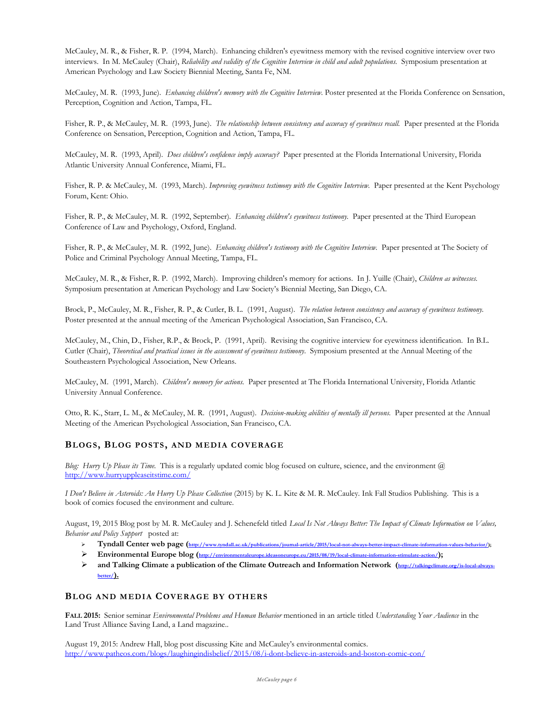McCauley, M. R., & Fisher, R. P. (1994, March). Enhancing children's eyewitness memory with the revised cognitive interview over two interviews. In M. McCauley (Chair), *Reliability and validity of the Cognitive Interview in child and adult populations.* Symposium presentation at American Psychology and Law Society Biennial Meeting, Santa Fe, NM.

McCauley, M. R. (1993, June). *Enhancing children's memory with the Cognitive Interview*. Poster presented at the Florida Conference on Sensation, Perception, Cognition and Action, Tampa, FL.

Fisher, R. P., & McCauley, M. R. (1993, June). *The relationship between consistency and accuracy of eyewitness recall.* Paper presented at the Florida Conference on Sensation, Perception, Cognition and Action, Tampa, FL.

McCauley, M. R. (1993, April). *Does children's confidence imply accuracy?* Paper presented at the Florida International University, Florida Atlantic University Annual Conference, Miami, FL.

Fisher, R. P. & McCauley, M. (1993, March). *Improving eyewitness testimony with the Cognitive Interview.* Paper presented at the Kent Psychology Forum, Kent: Ohio.

Fisher, R. P., & McCauley, M. R. (1992, September)*. Enhancing children's eyewitness testimony.* Paper presented at the Third European Conference of Law and Psychology, Oxford, England.

Fisher, R. P., & McCauley, M. R. (1992, June). *Enhancing children's testimony with the Cognitive Interview.* Paper presented at The Society of Police and Criminal Psychology Annual Meeting, Tampa, FL.

McCauley, M. R., & Fisher, R. P. (1992, March). Improving children's memory for actions. In J. Yuille (Chair), *Children as witnesses.* Symposium presentation at American Psychology and Law Society's Biennial Meeting, San Diego, CA.

Brock, P., McCauley, M. R., Fisher, R. P., & Cutler, B. L. (1991, August). *The relation between consistency and accuracy of eyewitness testimony.* Poster presented at the annual meeting of the American Psychological Association, San Francisco, CA.

McCauley, M., Chin, D., Fisher, R.P., & Brock, P. (1991, April). Revising the cognitive interview for eyewitness identification. In B.L. Cutler (Chair), *Theoretical and practical issues in the assessment of eyewitness testimony*. Symposium presented at the Annual Meeting of the Southeastern Psychological Association, New Orleans.

McCauley, M. (1991, March). *Children's memory for actions.* Paper presented at The Florida International University, Florida Atlantic University Annual Conference.

Otto, R. K., Starr, L. M., & McCauley, M. R. (1991, August). *Decision-making abilities of mentally ill persons.* Paper presented at the Annual Meeting of the American Psychological Association, San Francisco, CA.

#### **BLOGS, BLOG POSTS, AND MEDIA COVERAGE**

*Blog: Hurry Up Please its Time.* This is a regularly updated comic blog focused on culture, science, and the environment @ <http://www.hurryuppleaseitstime.com/>

*I Don't Believe in Asteroids: An Hurry Up Please Collection* (2015) by K. L. Kite & M. R. McCauley. Ink Fall Studios Publishing. This is a book of comics focused the environment and culture.

August, 19, 2015 Blog post by M. R. McCauley and J. Schenefeld titled *Local Is Not Always Better: The Impact of Climate Information on Values, Behavior and Policy Support* posted at:

- > Tyndall Center web page [\(http://www.tyndall.ac.uk/publications/journal-article/2015/local-not-always-better-impact-climate-information-values-behavior/\);](http://www.tyndall.ac.uk/publications/journal-article/2015/local-not-always-better-impact-climate-information-values-behavior/)
- **Environmental Europe blog [\(http://environmentaleurope.ideasoneurope.eu/2015/08/19/local-climate-information-stimulate-action/\)](http://environmentaleurope.ideasoneurope.eu/2015/08/19/local-climate-information-stimulate-action/);**
- ▶ and Talking Climate a publication of the Climate Outreach and Information Network [\(http://talkingclimate.org/is-local-always](http://talkingclimate.org/is-local-always-better/)**[better/\)](http://talkingclimate.org/is-local-always-better/).**

# **BLOG AND MEDIA COVERAGE BY OTHERS**

**FALL 2015:** Senior seminar *Environmental Problems and Human Behavior* mentioned in an article titled *Understanding Your Audience* in the Land Trust Alliance Saving Land, a Land magazine..

August 19, 2015: Andrew Hall, blog post discussing Kite and McCauley's environmental comics. <http://www.patheos.com/blogs/laughingindisbelief/2015/08/i-dont-believe-in-asteroids-and-boston-comic-con/>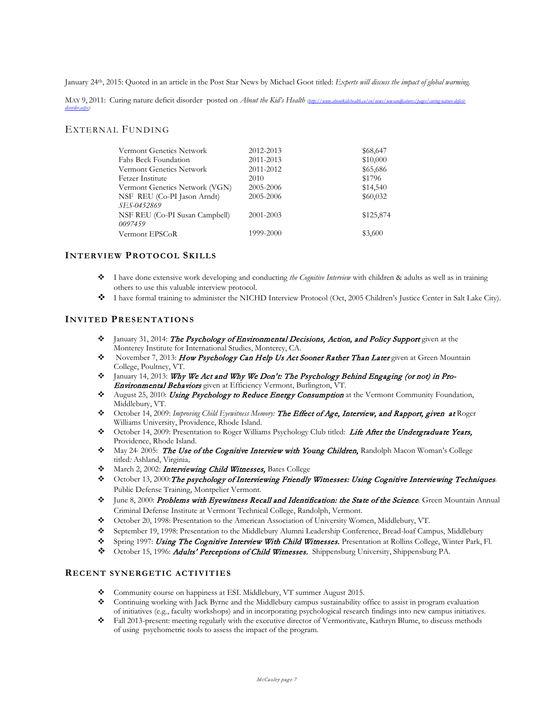January 24th, 2015: Quoted in an article in the Post Star News by Michael Goot titled: *Experts will discuss the impact of global warming.*

MAY 9, 2011: Curing nature deficit disorder posted on *About the Kid's Health* (http://www.aboutkidshealth.ca/en/news/newsandfeatures/pa *[disorder.aspx\)](http://www.aboutkidshealth.ca/en/news/newsandfeatures/pages/curing-nature-deficit-disorder.aspx)*

# EXTERNAL FUNDING

|           | \$68,647  |
|-----------|-----------|
| 2011-2013 | \$10,000  |
| 2011-2012 | \$65,686  |
| 2010      | \$1796    |
| 2005-2006 | \$14,540  |
| 2005-2006 | \$60,032  |
| 2001-2003 | \$125,874 |
| 1999-2000 | \$3,600   |
|           | 2012-2013 |

### **INTERVIEW PROTOCOL SKILLS**

- I have done extensive work developing and conducting *the Cognitive Interview* with children & adults as well as in training others to use this valuable interview protocol.
- I have formal training to administer the NICHD Interview Protocol (Oct, 2005 Children's Justice Center in Salt Lake City).

### **INVITED PRESENTATIONS**

- $\bullet$  January 31, 2014: The Psychology of Environmental Decisions, Action, and Policy Support given at the Monterey Institute for International Studies, Monterey, CA.
- November 7, 2013: How Psychology Can Help Us Act Sooner Rather Than Later given at Green Mountain College, Poultney, VT.
- $\div$  January 14, 2013: Why We Act and Why We Don't: The Psychology Behind Engaging (or not) in Pro-Environmental Behaviors given at Efficiency Vermont, Burlington, VT.
- August 25, 2010: Using Psychology to Reduce Energy Consumption at the Vermont Community Foundation, Middlebury, VT.
- October 14, 2009: *Improving Child Eyewitness Memory:* The Effect of Age, Interview, and Rapport, given at Roger Williams University, Providence, Rhode Island.
- Cotober 14, 2009: Presentation to Roger Williams Psychology Club titled: Life After the Undergraduate Years, Providence, Rhode Island.
- May 24, 2005: The Use of the Cognitive Interview with Young Children, Randolph Macon Woman's College titled*:* Ashland, Virginia.
- $\cdot$  March 2, 2002: Interviewing Child Witnesses, Bates College
- October 13, 2000:The psychology of Interviewing Friendly Witnesses: Using Cognitive Interviewing Techniques*.*  Public Defense Training, Montpelier Vermont.
- June 8, 2000: Problems with Eyewitness Recall and Identification: the State of the Science*.* Green Mountain Annual Criminal Defense Institute at Vermont Technical College, Randolph, Vermont.
- October 20, 1998: Presentation to the American Association of University Women, Middlebury, VT.
- September 19, 1998: Presentation to the Middlebury Alumni Leadership Conference, Bread-loaf Campus, Middlebury
- Spring 1997: Using The Cognitive Interview With Child Witnesses. Presentation at Rollins College, Winter Park, Fl.
- October 15, 1996: Adults' Perceptions of Child Witnesses. Shippensburg University, Shippensburg PA.

#### **RECENT SYNERGETIC ACTIVITIES**

- Community course on happiness at ESI. Middlebury, VT summer August 2015.
- Continuing working with Jack Byrne and the Middlebury campus sustainability office to assist in program evaluation of initiatives (e.g., faculty workshops) and in incorporating psychological research findings into new campus initiatives.
- Fall 2013-present: meeting regularly with the executive director of Vermontivate, Kathryn Blume, to discuss methods of using psychometric tools to assess the impact of the program.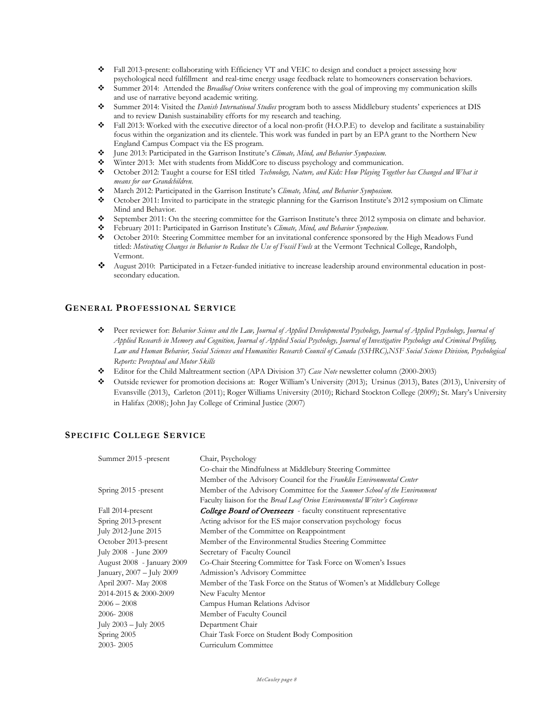- Fall 2013-present: collaborating with Efficiency VT and VEIC to design and conduct a project assessing how psychological need fulfillment and real-time energy usage feedback relate to homeowners conservation behaviors.
- Summer 2014: Attended the *Breadloaf Orion* writers conference with the goal of improving my communication skills and use of narrative beyond academic writing.
- Summer 2014: Visited the *Danish International Studies* program both to assess Middlebury students' experiences at DIS and to review Danish sustainability efforts for my research and teaching.
- Fall 2013: Worked with the executive director of a local non-profit (H.O.P.E) to develop and facilitate a sustainability focus within the organization and its clientele. This work was funded in part by an EPA grant to the Northern New England Campus Compact via the ES program.
- June 2013: Participated in the Garrison Institute's *Climate, Mind, and Behavior Symposium.*
- Winter 2013: Met with students from MiddCore to discuss psychology and communication.
- October 2012: Taught a course for ESI titled *Technology, Nature, and Kids: How Playing Together has Changed and What it means for our Grandchildren.*
- March 2012: Participated in the Garrison Institute's *Climate, Mind, and Behavior Symposium.*
- October 2011: Invited to participate in the strategic planning for the Garrison Institute's 2012 symposium on Climate Mind and Behavior.
- September 2011: On the steering committee for the Garrison Institute's three 2012 symposia on climate and behavior.
- February 2011: Participated in Garrison Institute's *Climate, Mind, and Behavior Symposium.*
- October 2010: Steering Committee member for an invitational conference sponsored by the High Meadows Fund titled: *Motivating Changes in Behavior to Reduce the Use of Fossil Fuels* at the Vermont Technical College, Randolph, Vermont.
- August 2010: Participated in a Fetzer-funded initiative to increase leadership around environmental education in postsecondary education.

### **GENERAL PROFESSIONAL SERVICE**

- Peer reviewer for: *Behavior Science and the Law, Journal of Applied Developmental Psychology, Journal of Applied Psychology, Journal of Applied Research in Memory and Cognition, Journal of Applied Social Psychology, Journal of Investigative Psychology and Criminal Profiling, Law and Human Behavior, Social Sciences and Humanities Research Council of Canada (SSHRC),NSF Social Science Division, Psychological Reports: Perceptual and Motor Skills*
- Editor for the Child Maltreatment section (APA Division 37) *Case Note* newsletter column (2000-2003)
- Outside reviewer for promotion decisions at: Roger William's University (2013); Ursinus (2013), Bates (2013), University of Evansville (2013), Carleton (2011); Roger Williams University (2010); Richard Stockton College (2009); St. Mary's University in Halifax (2008); John Jay College of Criminal Justice (2007)

# **SPECIFIC COLLEGE SERVICE**

| Summer 2015 -present       | Chair, Psychology                                                          |
|----------------------------|----------------------------------------------------------------------------|
|                            | Co-chair the Mindfulness at Middlebury Steering Committee                  |
|                            | Member of the Advisory Council for the Franklin Environmental Center       |
| Spring 2015 -present       | Member of the Advisory Committee for the Summer School of the Environment  |
|                            | Faculty liaison for the Bread Loaf Orion Environmental Writer's Conference |
| Fall 2014-present          | <b>College Board of Overseers</b> - faculty constituent representative     |
| Spring 2013-present        | Acting advisor for the ES major conservation psychology focus              |
| July 2012-June 2015        | Member of the Committee on Reappointment                                   |
| October 2013-present       | Member of the Environmental Studies Steering Committee                     |
| July 2008 - June 2009      | Secretary of Faculty Council                                               |
| August 2008 - January 2009 | Co-Chair Steering Committee for Task Force on Women's Issues               |
| January, 2007 - July 2009  | Admission's Advisory Committee                                             |
| April 2007- May 2008       | Member of the Task Force on the Status of Women's at Middlebury College    |
| 2014-2015 & 2000-2009      | New Faculty Mentor                                                         |
| $2006 - 2008$              | Campus Human Relations Advisor                                             |
| 2006-2008                  | Member of Faculty Council                                                  |
| July $2003 -$ July $2005$  | Department Chair                                                           |
| Spring 2005                | Chair Task Force on Student Body Composition                               |
| $2003 - 2005$              | Curriculum Committee                                                       |
|                            |                                                                            |